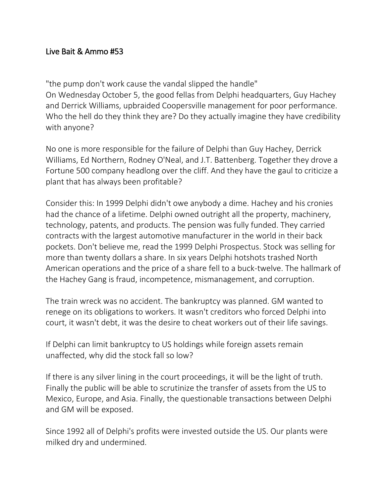## Live Bait & Ammo #53

"the pump don't work cause the vandal slipped the handle" On Wednesday October 5, the good fellas from Delphi headquarters, Guy Hachey and Derrick Williams, upbraided Coopersville management for poor performance. Who the hell do they think they are? Do they actually imagine they have credibility with anyone?

No one is more responsible for the failure of Delphi than Guy Hachey, Derrick Williams, Ed Northern, Rodney O'Neal, and J.T. Battenberg. Together they drove a Fortune 500 company headlong over the cliff. And they have the gaul to criticize a plant that has always been profitable?

Consider this: In 1999 Delphi didn't owe anybody a dime. Hachey and his cronies had the chance of a lifetime. Delphi owned outright all the property, machinery, technology, patents, and products. The pension was fully funded. They carried contracts with the largest automotive manufacturer in the world in their back pockets. Don't believe me, read the 1999 Delphi Prospectus. Stock was selling for more than twenty dollars a share. In six years Delphi hotshots trashed North American operations and the price of a share fell to a buck-twelve. The hallmark of the Hachey Gang is fraud, incompetence, mismanagement, and corruption.

The train wreck was no accident. The bankruptcy was planned. GM wanted to renege on its obligations to workers. It wasn't creditors who forced Delphi into court, it wasn't debt, it was the desire to cheat workers out of their life savings.

If Delphi can limit bankruptcy to US holdings while foreign assets remain unaffected, why did the stock fall so low?

If there is any silver lining in the court proceedings, it will be the light of truth. Finally the public will be able to scrutinize the transfer of assets from the US to Mexico, Europe, and Asia. Finally, the questionable transactions between Delphi and GM will be exposed.

Since 1992 all of Delphi's profits were invested outside the US. Our plants were milked dry and undermined.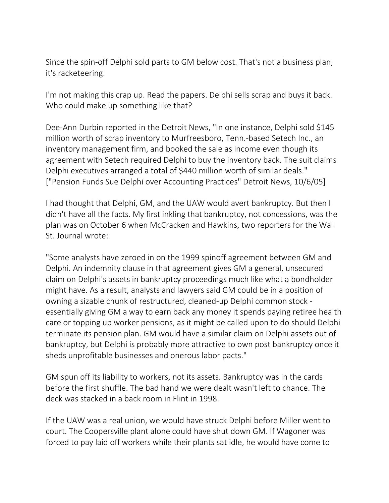Since the spin-off Delphi sold parts to GM below cost. That's not a business plan, it's racketeering.

I'm not making this crap up. Read the papers. Delphi sells scrap and buys it back. Who could make up something like that?

Dee-Ann Durbin reported in the Detroit News, "In one instance, Delphi sold \$145 million worth of scrap inventory to Murfreesboro, Tenn.-based Setech Inc., an inventory management firm, and booked the sale as income even though its agreement with Setech required Delphi to buy the inventory back. The suit claims Delphi executives arranged a total of \$440 million worth of similar deals." ["Pension Funds Sue Delphi over Accounting Practices" Detroit News, 10/6/05]

I had thought that Delphi, GM, and the UAW would avert bankruptcy. But then I didn't have all the facts. My first inkling that bankruptcy, not concessions, was the plan was on October 6 when McCracken and Hawkins, two reporters for the Wall St. Journal wrote:

"Some analysts have zeroed in on the 1999 spinoff agreement between GM and Delphi. An indemnity clause in that agreement gives GM a general, unsecured claim on Delphi's assets in bankruptcy proceedings much like what a bondholder might have. As a result, analysts and lawyers said GM could be in a position of owning a sizable chunk of restructured, cleaned-up Delphi common stock essentially giving GM a way to earn back any money it spends paying retiree health care or topping up worker pensions, as it might be called upon to do should Delphi terminate its pension plan. GM would have a similar claim on Delphi assets out of bankruptcy, but Delphi is probably more attractive to own post bankruptcy once it sheds unprofitable businesses and onerous labor pacts."

GM spun off its liability to workers, not its assets. Bankruptcy was in the cards before the first shuffle. The bad hand we were dealt wasn't left to chance. The deck was stacked in a back room in Flint in 1998.

If the UAW was a real union, we would have struck Delphi before Miller went to court. The Coopersville plant alone could have shut down GM. If Wagoner was forced to pay laid off workers while their plants sat idle, he would have come to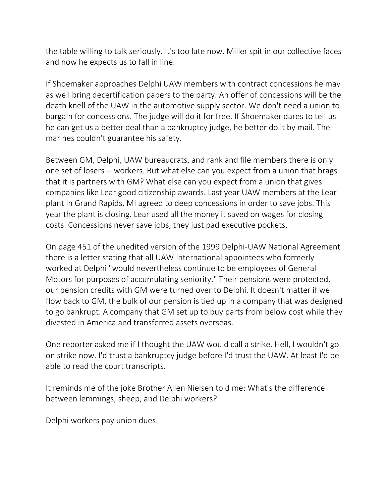the table willing to talk seriously. It's too late now. Miller spit in our collective faces and now he expects us to fall in line.

If Shoemaker approaches Delphi UAW members with contract concessions he may as well bring decertification papers to the party. An offer of concessions will be the death knell of the UAW in the automotive supply sector. We don't need a union to bargain for concessions. The judge will do it for free. If Shoemaker dares to tell us he can get us a better deal than a bankruptcy judge, he better do it by mail. The marines couldn't guarantee his safety.

Between GM, Delphi, UAW bureaucrats, and rank and file members there is only one set of losers -- workers. But what else can you expect from a union that brags that it is partners with GM? What else can you expect from a union that gives companies like Lear good citizenship awards. Last year UAW members at the Lear plant in Grand Rapids, MI agreed to deep concessions in order to save jobs. This year the plant is closing. Lear used all the money it saved on wages for closing costs. Concessions never save jobs, they just pad executive pockets.

On page 451 of the unedited version of the 1999 Delphi-UAW National Agreement there is a letter stating that all UAW International appointees who formerly worked at Delphi "would nevertheless continue to be employees of General Motors for purposes of accumulating seniority." Their pensions were protected, our pension credits with GM were turned over to Delphi. It doesn't matter if we flow back to GM, the bulk of our pension is tied up in a company that was designed to go bankrupt. A company that GM set up to buy parts from below cost while they divested in America and transferred assets overseas.

One reporter asked me if I thought the UAW would call a strike. Hell, I wouldn't go on strike now. I'd trust a bankruptcy judge before I'd trust the UAW. At least I'd be able to read the court transcripts.

It reminds me of the joke Brother Allen Nielsen told me: What's the difference between lemmings, sheep, and Delphi workers?

Delphi workers pay union dues.